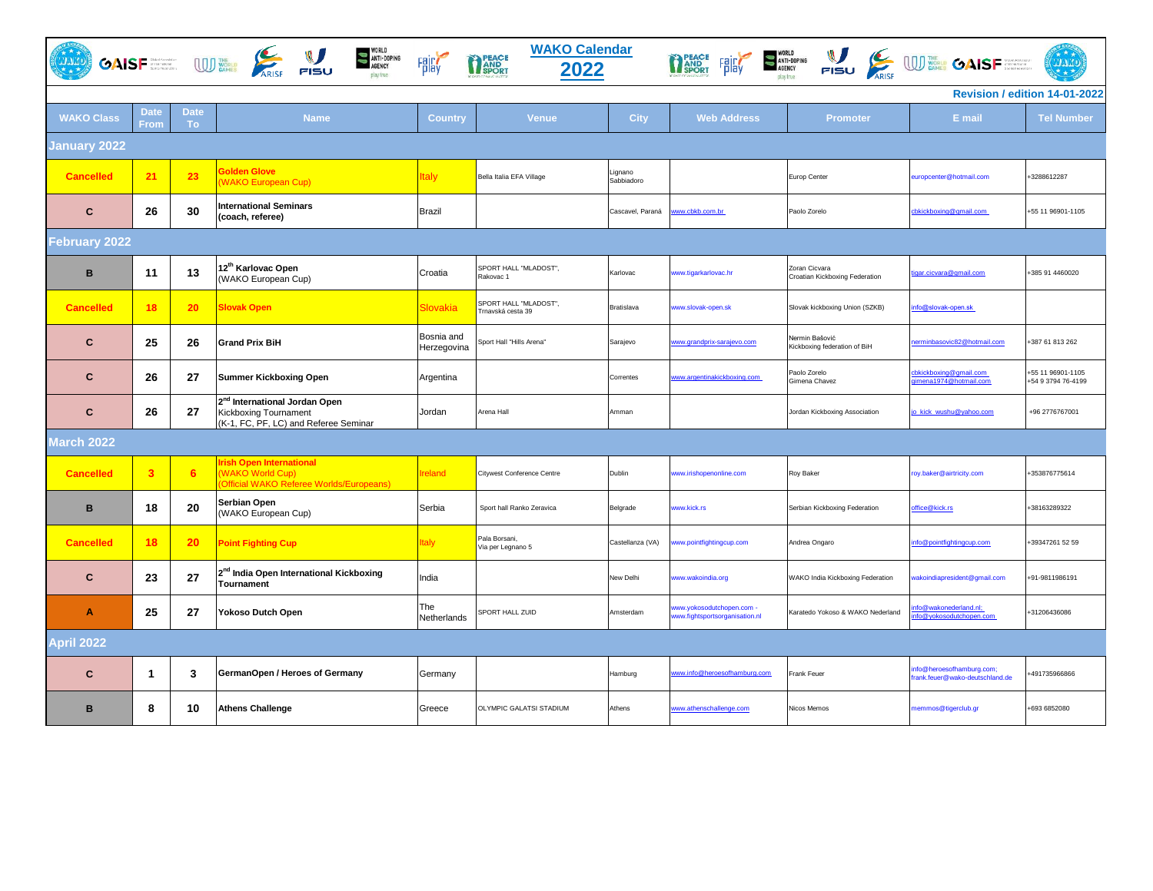| <b>WAKO Calendar</b><br>WORLD<br>ANTI-DOPING<br>AGENCY<br>THE PEACE FRICT STATE OF A ARTISOPHIC STATE OF THE CONTROL OF THE CONTROL OF THE CONTROL OF THE CONTROL OF THE CONTROL OF THE CONTROL OF THE CONTROL OF THE CONTROL OF THE CONTROL OF THE CONTROL OF THE CONTROL OF THE CONTRO<br>GAISF UD WORLD ARISE FISU<br>PEACE<br>PAND<br>SPORT<br>(cinc)<br><b>Fair</b><br>2022<br>play true |                         |                   |                                                                                                             |                           |                                           |                       |                                                             |                                                 |                                                            |                                         |
|-----------------------------------------------------------------------------------------------------------------------------------------------------------------------------------------------------------------------------------------------------------------------------------------------------------------------------------------------------------------------------------------------|-------------------------|-------------------|-------------------------------------------------------------------------------------------------------------|---------------------------|-------------------------------------------|-----------------------|-------------------------------------------------------------|-------------------------------------------------|------------------------------------------------------------|-----------------------------------------|
| Revision / edition 14-01-2022                                                                                                                                                                                                                                                                                                                                                                 |                         |                   |                                                                                                             |                           |                                           |                       |                                                             |                                                 |                                                            |                                         |
| <b>WAKO Class</b>                                                                                                                                                                                                                                                                                                                                                                             | <b>Date</b><br>From     | <b>Date</b><br>To | <b>Name</b>                                                                                                 | Country                   | <b>Venue</b>                              | <b>City</b>           | <b>Web Address</b>                                          | Promoter                                        | E mail                                                     | <b>Tel Number</b>                       |
| January 2022                                                                                                                                                                                                                                                                                                                                                                                  |                         |                   |                                                                                                             |                           |                                           |                       |                                                             |                                                 |                                                            |                                         |
| <b>Cancelled</b>                                                                                                                                                                                                                                                                                                                                                                              | 21                      | 23                | <b>Solden Glove</b><br><b>WAKO European Cup)</b>                                                            | Italy                     | Bella Italia EFA Village                  | Lignano<br>Sabbiadoro |                                                             | Europ Center                                    | europcenter@hotmail.com                                    | +3288612287                             |
| $\mathbf{C}$                                                                                                                                                                                                                                                                                                                                                                                  | 26                      | 30                | <b>International Seminars</b><br>(coach, referee)                                                           | <b>Brazil</b>             |                                           | Cascavel, Paraná      | ww.cbkb.com.br                                              | Paolo Zorelo                                    | cbkickboxing@gmail.com                                     | +55 11 96901-1105                       |
| <b>February 2022</b>                                                                                                                                                                                                                                                                                                                                                                          |                         |                   |                                                                                                             |                           |                                           |                       |                                                             |                                                 |                                                            |                                         |
| $\mathbf B$                                                                                                                                                                                                                                                                                                                                                                                   | 11                      | 13                | 12 <sup>th</sup> Karlovac Open<br>(WAKO European Cup)                                                       | Croatia                   | SPORT HALL "MLADOST",<br>Rakovac 1        | Karlovac              | www.tigarkarlovac.hr                                        | Zoran Cicvara<br>Croatian Kickboxing Federation | tigar.cicvara@gmail.com                                    | +385 91 4460020                         |
| <b>Cancelled</b>                                                                                                                                                                                                                                                                                                                                                                              | 18                      | 20                | <b>Slovak Open</b>                                                                                          | <b>Slovakia</b>           | SPORT HALL "MLADOST".<br>rnavská cesta 39 | Bratislava            | www.slovak-open.sk                                          | Slovak kickboxing Union (SZKB)                  | nfo@slovak-open.sk                                         |                                         |
| C                                                                                                                                                                                                                                                                                                                                                                                             | 25                      | 26                | <b>Grand Prix BiH</b>                                                                                       | Bosnia and<br>Herzegovina | Sport Hall "Hills Arena"                  | Sarajevo              | www.grandprix-sarajevo.com                                  | Nermin Bašović<br>Kickboxing federation of BiH  | erminbasovic82@hotmail.com                                 | +387 61 813 262                         |
| C                                                                                                                                                                                                                                                                                                                                                                                             | 26                      | 27                | <b>Summer Kickboxing Open</b>                                                                               | Argentina                 |                                           | Correntes             | www.argentinakickboxing.com                                 | Paolo Zorelo<br>Gimena Chavez                   | bkickboxing@gmail.com<br>imena1974@hotmail.com             | +55 11 96901-1105<br>+54 9 3794 76-4199 |
| $\mathbf{C}$                                                                                                                                                                                                                                                                                                                                                                                  | 26                      | 27                | 2 <sup>nd</sup> International Jordan Open<br>Kickboxing Tournament<br>(K-1, FC, PF, LC) and Referee Seminar | Jordan                    | Arena Hall                                | Amman                 |                                                             | Jordan Kickboxing Association                   | o_kick_wushu@yahoo.com                                     | +96 2776767001                          |
| March 2022                                                                                                                                                                                                                                                                                                                                                                                    |                         |                   |                                                                                                             |                           |                                           |                       |                                                             |                                                 |                                                            |                                         |
| <b>Cancelled</b>                                                                                                                                                                                                                                                                                                                                                                              | $\overline{\mathbf{3}}$ | 6                 | <b>Irish Open International</b><br><b>WAKO World Cup)</b><br><b>Official WAKO Referee Worlds/Europeans)</b> | reland                    | Citywest Conference Centre                | Dublin                | www.irishopenonline.com                                     | Roy Baker                                       | roy.baker@airtricity.com                                   | +353876775614                           |
| B                                                                                                                                                                                                                                                                                                                                                                                             | 18                      | 20                | Serbian Open<br>(WAKO European Cup)                                                                         | Serbia                    | Sport hall Ranko Zeravica                 | Belgrade              | www.kick.rs                                                 | Serbian Kickboxing Federation                   | office@kick.rs                                             | +38163289322                            |
| <b>Cancelled</b>                                                                                                                                                                                                                                                                                                                                                                              | 18                      | 20                | <b>Point Fighting Cup</b>                                                                                   | <b>Italy</b>              | Pala Borsani,<br>Via per Legnano 5        | Castellanza (VA)      | ww.pointfightingcup.com                                     | Andrea Ongaro                                   | info@pointfightingcup.com                                  | +39347261 52 59                         |
| $\mathbf{C}$                                                                                                                                                                                                                                                                                                                                                                                  | 23                      | 27                | 2 <sup>nd</sup> India Open International Kickboxing<br><b>Tournament</b>                                    | India                     |                                           | New Delhi             | ww.wakoindia.org                                            | WAKO India Kickboxing Federation                | vakoindiapresident@gmail.com                               | +91-9811986191                          |
| Α                                                                                                                                                                                                                                                                                                                                                                                             | 25                      | 27                | Yokoso Dutch Open                                                                                           | The<br>Netherlands        | SPORT HALL ZUID                           | Amsterdam             | www.yokosodutchopen.com -<br>www.fightsportsorganisation.nl | Karatedo Yokoso & WAKO Nederland                | nfo@wakonederland.nl;<br>nfo@yokosodutchopen.com           | +31206436086                            |
| <b>April 2022</b>                                                                                                                                                                                                                                                                                                                                                                             |                         |                   |                                                                                                             |                           |                                           |                       |                                                             |                                                 |                                                            |                                         |
| $\mathbf{C}$                                                                                                                                                                                                                                                                                                                                                                                  | $\mathbf 1$             | 3                 | GermanOpen / Heroes of Germany                                                                              | Germany                   |                                           | Hamburg               | www.info@heroesofhamburg.com                                | Frank Feuer                                     | nfo@heroesofhamburg.com;<br>rank.feuer@wako-deutschland.de | 491735966866                            |
| B                                                                                                                                                                                                                                                                                                                                                                                             | 8                       | 10                | <b>Athens Challenge</b>                                                                                     | Greece                    | OLYMPIC GALATSI STADIUM                   | Athens                | www.athenschallenge.com                                     | Nicos Memos                                     | memmos@tigerclub.gr                                        | +693 6852080                            |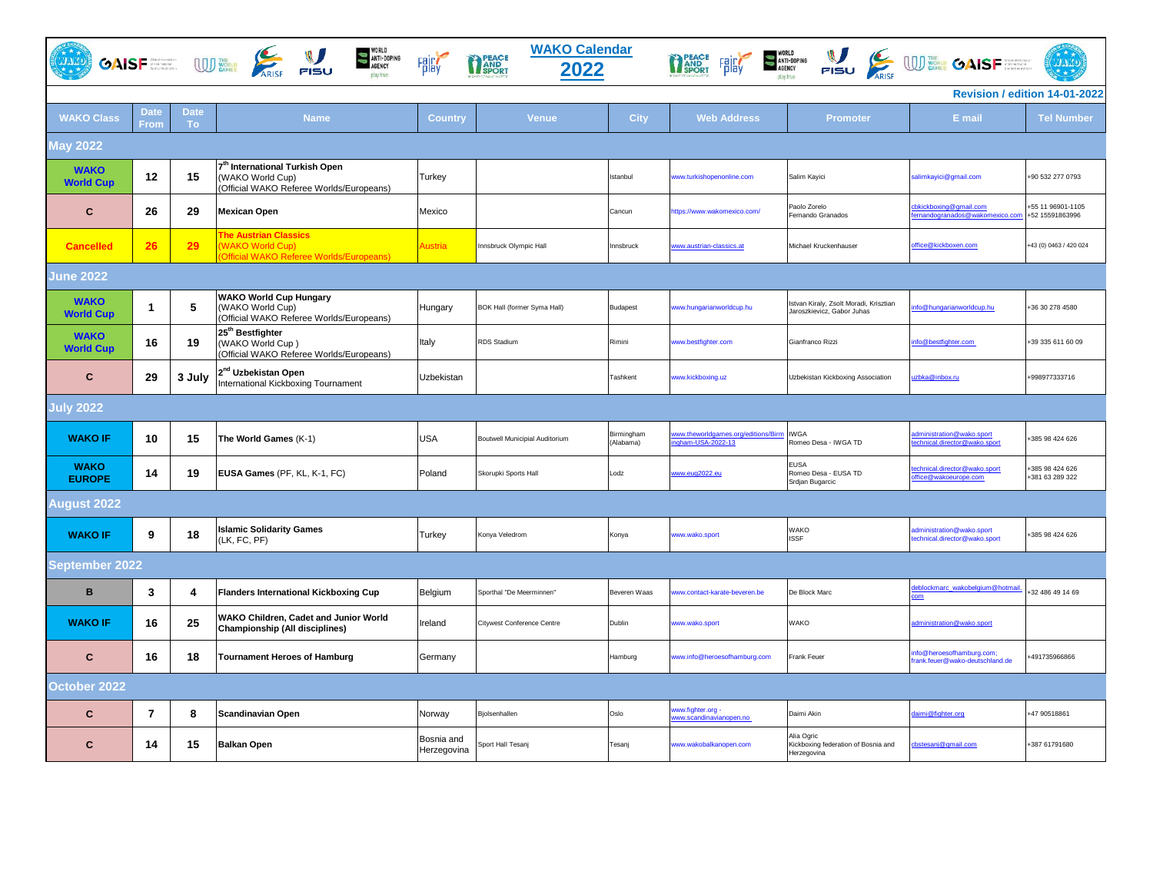|                                 |                |                          | WORLD<br>ANTI-DOPING<br>AGENCY<br>GAISF <b>SERVICE CONSUMING THE VALUE OF SAMPLE PISU</b><br>play true     | <b>Fair</b>               | <b>WAKO Calendar</b><br>PEACE<br>PAND<br>SPORT<br>2022 |                         |                                                           | TREACH FRICH SANT-DOPING NEWSLOCK WITH SAME CAISE                    |                                                              | <b>CLARA</b>                         |
|---------------------------------|----------------|--------------------------|------------------------------------------------------------------------------------------------------------|---------------------------|--------------------------------------------------------|-------------------------|-----------------------------------------------------------|----------------------------------------------------------------------|--------------------------------------------------------------|--------------------------------------|
|                                 |                |                          |                                                                                                            |                           |                                                        |                         |                                                           |                                                                      |                                                              | Revision / edition 14-01-2022        |
| <b>WAKO Class</b>               | Date<br>From   | <b>Date</b><br><b>To</b> | <b>Name</b>                                                                                                | <b>Country</b>            | <b>Venue</b>                                           | <b>City</b>             | <b>Web Address</b>                                        | <b>Promoter</b>                                                      | E mail                                                       | <b>Tel Number</b>                    |
| May 2022                        |                |                          |                                                                                                            |                           |                                                        |                         |                                                           |                                                                      |                                                              |                                      |
| <b>WAKO</b><br><b>World Cup</b> | 12             | 15                       | 7 <sup>th</sup> International Turkish Open<br>(WAKO World Cup)<br>(Official WAKO Referee Worlds/Europeans) | Turkey                    |                                                        | Istanbul                | ww.turkishopenonline.com                                  | Salim Kayici                                                         | salimkayici@gmail.com                                        | +90 532 277 0793                     |
| C                               | 26             | 29                       | <b>Mexican Open</b>                                                                                        | Mexico                    |                                                        | Cancun                  | https://www.wakomexico.com/                               | Paolo Zorelo<br>Fernando Granados                                    | bkickboxing@gmail.com<br>ernandogranados@wakomexico.com      | +55 11 96901-1105<br>+52 15591863996 |
| <b>Cancelled</b>                | 26             | 29                       | <b>The Austrian Classics</b><br><b>WAKO World Cup)</b><br>Official WAKO Referee Worlds/Europeans)          | Austria                   | Innsbruck Olympic Hall                                 | Innsbruck               | www.austrian-classics.at                                  | Michael Kruckenhauser                                                | office@kickboxen.com                                         | +43 (0) 0463 / 420 024               |
| June 2022                       |                |                          |                                                                                                            |                           |                                                        |                         |                                                           |                                                                      |                                                              |                                      |
| <b>WAKO</b><br><b>World Cup</b> | -1             | 5                        | <b>WAKO World Cup Hungary</b><br>(WAKO World Cup)<br>(Official WAKO Referee Worlds/Europeans)              | Hungary                   | BOK Hall (former Syma Hall)                            | Budapest                | www.hungarianworldcup.hu                                  | Istvan Kiraly, Zsolt Moradi, Krisztian<br>Jaroszkievicz, Gabor Juhas | nfo@hungarianworldcup.hu                                     | +36 30 278 4580                      |
| <b>WAKO</b><br><b>World Cup</b> | 16             | 19                       | 25 <sup>th</sup> Bestfighter<br>(WAKO World Cup)<br>(Official WAKO Referee Worlds/Europeans)               | Italy                     | RDS Stadium                                            | Rimini                  | www.bestfighter.com                                       | Gianfranco Rizzi                                                     | nfo@bestfighter.com                                          | +39 335 611 60 09                    |
| $\mathbf{C}$                    | 29             | 3 July                   | 2 <sup>nd</sup> Uzbekistan Open<br>International Kickboxing Tournament                                     | Uzbekistan                |                                                        | Tashkent                | www.kickboxing.uz                                         | Uzbekistan Kickboxing Association                                    | uzbka@inbox.ru                                               | +998977333716                        |
| <b>July 2022</b>                |                |                          |                                                                                                            |                           |                                                        |                         |                                                           |                                                                      |                                                              |                                      |
| <b>WAKO IF</b>                  | 10             | 15                       | The World Games (K-1)                                                                                      | USA                       | Boutwell Municipial Auditorium                         | Birmingham<br>(Alabama) | www.theworldgames.org/editions/Birm<br>ingham-USA-2022-13 | <b>IWGA</b><br>Romeo Desa - IWGA TD                                  | dministration@wako.sport<br>echnical.director@wako.sport     | +385 98 424 626                      |
| <b>WAKO</b><br><b>EUROPE</b>    | 14             | 19                       | EUSA Games (PF, KL, K-1, FC)                                                                               | Poland                    | Skorupki Sports Hall                                   | Lodz                    | www.eug2022.eu                                            | <b>EUSA</b><br>Romeo Desa - EUSA TD<br>Srdjan Bugarcic               | echnical.director@wako.sport<br>ffice@wakoeurope.com         | -385 98 424 626<br>+381 63 289 322   |
| August 2022                     |                |                          |                                                                                                            |                           |                                                        |                         |                                                           |                                                                      |                                                              |                                      |
| <b>WAKO IF</b>                  | 9              | 18                       | <b>Islamic Solidarity Games</b><br>(LK, FC, PF)                                                            | Turkey                    | Konya Veledrom                                         | Konya                   | ww.wako.sport                                             | WAKO<br><b>ISSF</b>                                                  | dministration@wako.sport<br>technical.director@wako.sport    | +385 98 424 626                      |
| September 2022                  |                |                          |                                                                                                            |                           |                                                        |                         |                                                           |                                                                      |                                                              |                                      |
| $\mathbf B$                     | 3              | 4                        | <b>Flanders International Kickboxing Cup</b>                                                               | Belgium                   | Sporthal "De Meerminnen"                               | Beveren Waas            | ww.contact-karate-beveren.be                              | De Block Marc                                                        | leblockmarc_wakobelgium@hotmail                              | +32 486 49 14 69                     |
| <b>WAKO IF</b>                  | 16             | 25                       | WAKO Children, Cadet and Junior World<br>Championship (All disciplines)                                    | Ireland                   | Citywest Conference Centre                             | Dublin                  | ww.wako.sport                                             | <b>WAKO</b>                                                          | administration@wako.sport                                    |                                      |
| $\mathbf c$                     | 16             | 18                       | <b>Tournament Heroes of Hamburg</b>                                                                        | Germany                   |                                                        | Hamburg                 | www.info@heroesofhamburg.com                              | Frank Feuer                                                          | info@heroesofhamburg.com;<br>frank.feuer@wako-deutschland.de | +491735966866                        |
| October 2022                    |                |                          |                                                                                                            |                           |                                                        |                         |                                                           |                                                                      |                                                              |                                      |
| $\mathbf{C}$                    | $\overline{7}$ | 8                        | Scandinavian Open                                                                                          | Norway                    | Bjolsenhallen                                          | Oslo                    | ww.fighter.org -<br>ww.scandinavianopen.no                | Daimi Akin                                                           | daimi@fighter.org                                            | +47 90518861                         |
| $\mathbf{C}$                    | 14             | 15                       | <b>Balkan Open</b>                                                                                         | Bosnia and<br>Herzegovina | Sport Hall Tesanj                                      | Tesanj                  | www.wakobalkanopen.com                                    | Alia Ogric<br>Kickboxing federation of Bosnia and<br>Herzegovina     | cbstesanj@gmail.com                                          | +387 61791680                        |